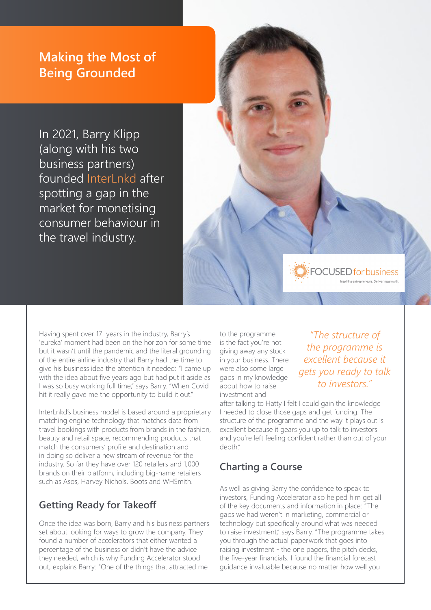# **Making the Most of Being Grounded**

In 2021, Barry Klipp (along with his two business partners) founded InterLnkd after spotting a gap in the market for monetising consumer behaviour in the travel industry.

Having spent over 17 years in the industry, Barry's 'eureka' moment had been on the horizon for some time but it wasn't until the pandemic and the literal grounding of the entire airline industry that Barry had the time to give his business idea the attention it needed: "I came up with the idea about five years ago but had put it aside as I was so busy working full time," says Barry. "When Covid hit it really gave me the opportunity to build it out."

InterLnkd's business model is based around a proprietary matching engine technology that matches data from travel bookings with products from brands in the fashion, beauty and retail space, recommending products that match the consumers' profile and destination and in doing so deliver a new stream of revenue for the industry. So far they have over 120 retailers and 1,000 brands on their platform, including big-name retailers such as Asos, Harvey Nichols, Boots and WHSmith.

## **Getting Ready for Takeoff**

Once the idea was born, Barry and his business partners set about looking for ways to grow the company. They found a number of accelerators that either wanted a percentage of the business or didn't have the advice they needed, which is why Funding Accelerator stood out, explains Barry: "One of the things that attracted me

to the programme is the fact you're not giving away any stock in your business. There were also some large gaps in my knowledge about how to raise investment and

*"The structure of the programme is excellent because it gets you ready to talk to investors."*

**FOCUSED** for business

after talking to Hatty I felt I could gain the knowledge I needed to close those gaps and get funding. The structure of the programme and the way it plays out is excellent because it gears you up to talk to investors and you're left feeling confident rather than out of your depth."

# **Charting a Course**

As well as giving Barry the confidence to speak to investors, Funding Accelerator also helped him get all of the key documents and information in place: "The gaps we had weren't in marketing, commercial or technology but specifically around what was needed to raise investment," says Barry. "The programme takes you through the actual paperwork that goes into raising investment - the one pagers, the pitch decks, the five-year financials. I found the financial forecast guidance invaluable because no matter how well you